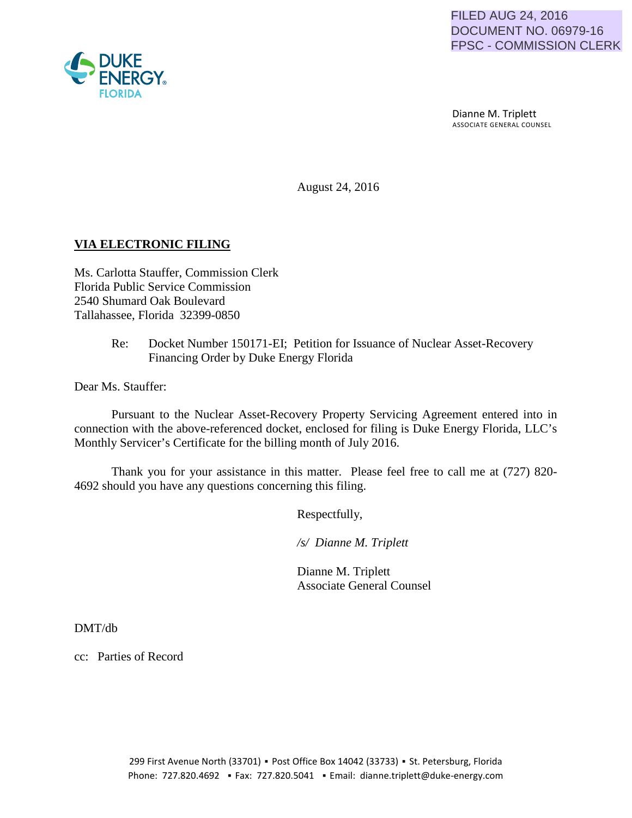

 Dianne M. Triplett ASSOCIATE GENERAL COUNSEL

August 24, 2016

## **VIA ELECTRONIC FILING**

Ms. Carlotta Stauffer, Commission Clerk Florida Public Service Commission 2540 Shumard Oak Boulevard Tallahassee, Florida 32399-0850

## Re: Docket Number 150171-EI; Petition for Issuance of Nuclear Asset-Recovery Financing Order by Duke Energy Florida

Dear Ms. Stauffer:

Pursuant to the Nuclear Asset-Recovery Property Servicing Agreement entered into in connection with the above-referenced docket, enclosed for filing is Duke Energy Florida, LLC's Monthly Servicer's Certificate for the billing month of July 2016.

Thank you for your assistance in this matter. Please feel free to call me at (727) 820- 4692 should you have any questions concerning this filing.

Respectfully,

 */s/ Dianne M. Triplett*

 Dianne M. Triplett Associate General Counsel

DMT/db

cc: Parties of Record

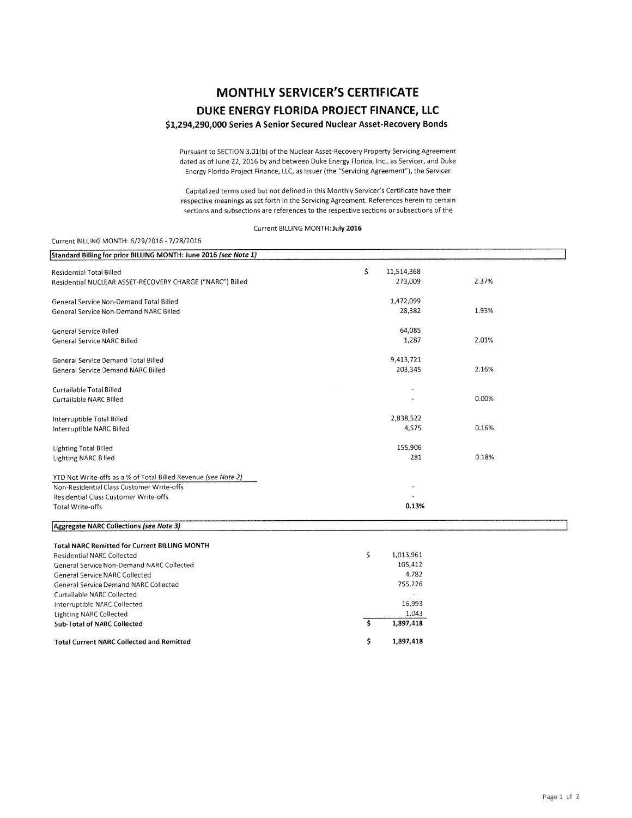# **MONTHLY SERVICER'S CERTIFICATE DUKE ENERGY FLORIDA PROJECT FINANCE, LLC**

### \$1,294,290,000 Series A Senior Secured Nuclear Asset-Recovery Bonds

Pursuant to SECTION 3.01(b) of the Nuclear Asset-Recovery Property Servicing Agreement dated as of June 22, 2016 by and between Duke Energy Florida, Inc., as Servicer, and Duke Energy Florida Project Finance, LLC, as Issuer (the "Servicing Agreement"), the Servicer

Capitalized terms used but not defined in this Monthly Servicer's Certificate have their respective meanings as set forth in the Servicing Agreement. References herein to certain sections and subsections are references to the respective sections or subsections of the

Current BILLING MONTH: July 2016

#### Current BILLING MONTH: 6/29/2016- 7/28/2016

| Standard Billing for prior BILLING MONTH: June 2016 (see Note 1) |     |            |       |
|------------------------------------------------------------------|-----|------------|-------|
| <b>Residential Total Billed</b>                                  | \$  | 11,514,368 |       |
| Residential NUCLEAR ASSET-RECOVERY CHARGE ("NARC") Billed        |     | 273,009    | 2.37% |
|                                                                  |     |            |       |
| General Service Non-Demand Total Billed                          |     | 1,472,099  |       |
| General Service Non-Demand NARC Billed                           |     | 28,382     | 1.93% |
| General Service Billed                                           |     | 64,085     |       |
| <b>General Service NARC Billed</b>                               |     | 1,287      | 2.01% |
| General Service Demand Total Billed                              |     | 9,413,721  |       |
| General Service Demand NARC Billed                               |     | 203,345    | 2.16% |
| Curtailable Total Billed                                         |     |            |       |
| Curtailable NARC Billed                                          |     |            | 0.00% |
| Interruptible Total Billed                                       |     | 2,838,522  |       |
| Interruptible NARC Billed                                        |     | 4,575      | 0.16% |
| <b>Lighting Total Billed</b>                                     |     | 155,906    |       |
| Lighting NARC Billed                                             |     | 281        | 0.18% |
| YTD Net Write-offs as a % of Total Billed Revenue (see Note 2)   |     |            |       |
| Non-Residential Class Customer Write-offs                        |     |            |       |
| Residential Class Customer Write-offs                            |     |            |       |
| <b>Total Write-offs</b>                                          |     | 0.13%      |       |
| Aggregate NARC Collections (see Note 3)                          |     |            |       |
| <b>Total NARC Remitted for Current BILLING MONTH</b>             |     |            |       |
| <b>Residential NARC Collected</b>                                | \$. | 1,013,961  |       |
| General Service Non-Demand NARC Collected                        |     | 105,412    |       |
| <b>General Service NARC Collected</b>                            |     | 4,782      |       |
| General Service Demand NARC Collected                            |     | 755,226    |       |
| Curtailable NARC Collected                                       |     |            |       |
| Interruptible NARC Collected                                     |     | 16,993     |       |
| <b>Lighting NARC Collected</b>                                   |     | 1,043      |       |
| <b>Sub-Total of NARC Collected</b>                               | \$  | 1,897,418  |       |
| <b>Total Current NARC Collected and Remitted</b>                 | \$  | 1,897,418  |       |